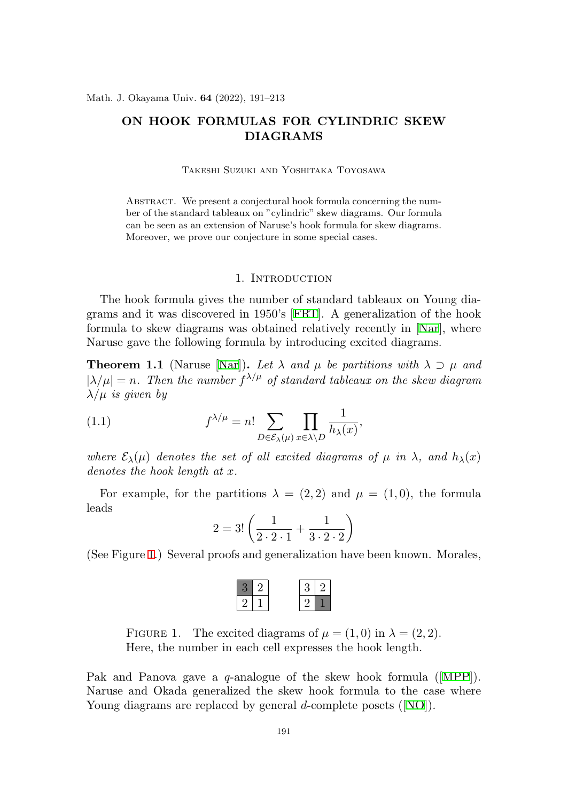Math. J. Okayama Univ. **64** (2022), 191–213

# **ON HOOK FORMULAS FOR CYLINDRIC SKEW DIAGRAMS**

Takeshi Suzuki and Yoshitaka Toyosawa

ABSTRACT. We present a conjectural hook formula concerning the number of the standard tableaux on "cylindric" skew diagrams. Our formula can be seen as an extension of Naruse's hook formula for skew diagrams. Moreover, we prove our conjecture in [some](#page-21-0) special cases.

# 1. INTRODUCTION

The hook formula giv[es th](#page-21-1)e number of standard tableaux on Young diagrams and it was discovered in 1950's [FRT]. A generalization of the hook formula to skew diagrams was obtained relatively recently in [Nar], where Naruse gave the following formula by introducing excited diagrams.

**Theorem 1.1** (Naruse [Nar]). Let  $\lambda$  and  $\mu$  be partitions with  $\lambda \supset \mu$  and  $|\lambda/\mu| = n$ . Then the number  $f^{\lambda/\mu}$  of standard tableaux on the skew diagram *λ/µ is given by*

(1.1) 
$$
f^{\lambda/\mu} = n! \sum_{D \in \mathcal{E}_{\lambda}(\mu)} \prod_{x \in \lambda \backslash D} \frac{1}{h_{\lambda}(x)},
$$

*where*  $\mathcal{E}_{\lambda}(\mu)$  *denotes the set of all excited diagrams of*  $\mu$  *in*  $\lambda$ *, and*  $h_{\lambda}(x)$ *denotes the hook length at x.*

For exa[mp](#page-0-0)le, for the partitions  $\lambda = (2, 2)$  and  $\mu = (1, 0)$ , the formula leads

<span id="page-0-0"></span>
$$
2 = 3! \left( \frac{1}{2 \cdot 2 \cdot 1} + \frac{1}{3 \cdot 2 \cdot 2} \right)
$$

(See Figure 1.) Several proofs and generalization have been known. Morales,

FIGURE 1. The excited diagrams of  $\mu = (1,0)$  in  $\lambda = (2,2)$  $\lambda = (2,2)$  $\lambda = (2,2)$ . Here, the number in each cell expresses the hook length.

Pak and Panova gave a *q*-analogue of the skew hook formula ([MPP]). Naruse and Okada generalized the skew hook formula to the case where Young diagrams are replaced by general *d*-complete posets ([NO]).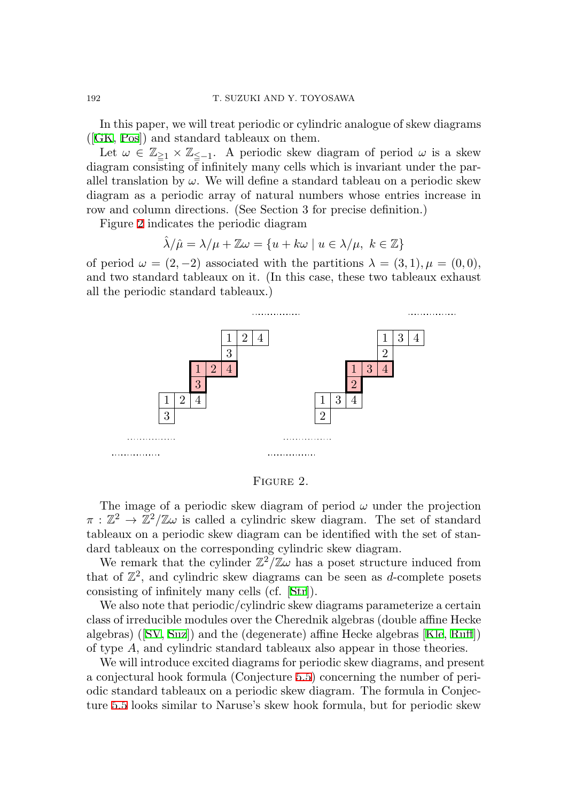In this paper, we will treat periodic or cylindric analogue of skew diagrams ([GK, Pos]) and standard tableaux on them.

Let  $\omega \in \mathbb{Z}_{\geq 1} \times \mathbb{Z}_{\leq -1}$ . A periodic skew diagram of period  $\omega$  is a skew diagram consisting of infinitely many cells which is invariant under the parallel translation by  $\omega$ . We will define a standard tableau on a periodic skew diagram as a periodic array of natural numbers whose entries increase in row and column directions. (See Section 3 for precise definition.)

Figure 2 indicates the periodic diagram

$$
\hat{\lambda}/\hat{\mu} = \lambda/\mu + \mathbb{Z}\omega = \{u + k\omega \mid u \in \lambda/\mu, \ k \in \mathbb{Z}\}
$$

of period  $\omega = (2, -2)$  associated with the partitions  $\lambda = (3, 1), \mu = (0, 0),$ and two standard tableaux on it. (In this case, these two tableaux exhaust all the periodic standard tableaux.)



<span id="page-1-0"></span>

| FIGURE |  |
|--------|--|
|        |  |

The image of a periodic skew diagram of period  $\omega$  under the projection  $\pi : \mathbb{Z}^2 \to \mathbb{Z}^2/\mathbb{Z} \omega$  is called a cylindric [ske](#page-22-0)w diagram. The set of standard tableaux on a periodic skew diagram can be identified with the set of standard tableaux on the corresponding cylindric skew diagram.

We rem[ark](#page-22-1) t[hat](#page-22-2) the cylinder  $\mathbb{Z}^2/\mathbb{Z}\omega$  has a poset structure in[duce](#page-21-3)[d from](#page-21-4) that of  $\mathbb{Z}^2$ , and cylindric skew diagrams can be seen as *d*-complete posets consisting of infinitely many cells (cf. [Str]).

We also note that periodic/cylindric s[kew](#page-8-0) diagrams parameterize a certain class of irreducible modules over the Cherednik algebras (double affine Hecke alge[bras](#page-8-0)) ([SV, Suz]) and the (degenerate) affine Hecke algebras [Kle, Ruff]) of type *A*, and cylindric standard tableaux also appear in those theories.

We will introduce excited diagrams for periodic skew diagrams, and present a conjectural hook formula (Conjecture 5.5) concerning the number of periodic standard tableaux on a periodic skew diagram. The formula in Conjecture 5.5 looks similar to Naruse's skew hook formula, but for periodic skew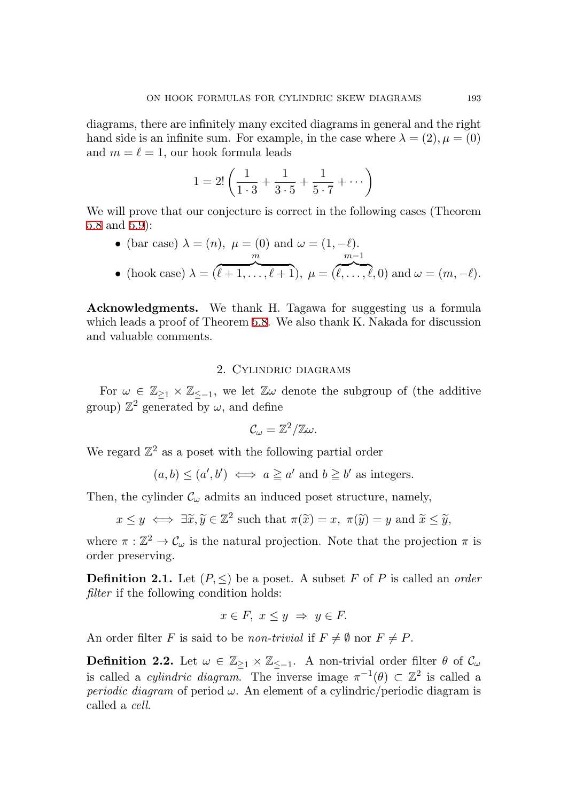diagrams, there are infinitely many excited diagrams in general and the right hand side is an infinite sum. For example, in the case where  $\lambda = (2), \mu = (0)$ [and](#page-10-0)  $m = \ell = 1$ , our hook formula leads

$$
1 = 2! \left( \frac{1}{1 \cdot 3} + \frac{1}{3 \cdot 5} + \frac{1}{5 \cdot 7} + \dotsb \right)
$$

We will prove that our conjecture is correct in the following cases (Theorem 5.8 and 5.9):

\n- (bar case) 
$$
\lambda = (n), \ \mu = (0)
$$
 and  $\omega = (1, -\ell).$
\n- (hook case)  $\lambda = (\ell + 1, \ldots, \ell + 1), \ \mu = (\ell, \ldots, \ell, 0)$  and  $\omega = (m, -\ell).$
\n

**Acknowledgments.** We thank H. Tagawa for suggesting us a formula which leads a proof of Theorem 5.8. We also thank K. Nakada for discussion and valuable comments.

#### 2. Cylindric diagrams

For  $\omega \in \mathbb{Z}_{\geq 1} \times \mathbb{Z}_{\leq -1}$ , we let  $\mathbb{Z}\omega$  denote the subgroup of (the additive group)  $\mathbb{Z}^2$  generated by  $\omega$ , and define

$$
\mathcal{C}_{\omega}=\mathbb{Z}^2/\mathbb{Z}\omega.
$$

We regard  $\mathbb{Z}^2$  as a poset with the following partial order

$$
(a, b) \leq (a', b') \iff a \geq a' \text{ and } b \geq b' \text{ as integers.}
$$

Then, the cylinder  $\mathcal{C}_{\omega}$  admits an induced poset structure, namely,

$$
x \leq y \iff \exists \widetilde{x}, \widetilde{y} \in \mathbb{Z}^2
$$
 such that  $\pi(\widetilde{x}) = x$ ,  $\pi(\widetilde{y}) = y$  and  $\widetilde{x} \leq \widetilde{y}$ ,

where  $\pi : \mathbb{Z}^2 \to \mathcal{C}_{\omega}$  is the natural projection. Note that the projection  $\pi$  is order preserving.

**Definition 2.1.** Let  $(P, \leq)$  be a poset. A subset *F* of *P* is called an *order filter* if the following condition holds:

$$
x \in F, \ x \le y \ \Rightarrow \ y \in F.
$$

An order filter *F* is said to be *non-trivial* if  $F \neq \emptyset$  nor  $F \neq P$ .

**Definition 2.2.** Let  $\omega \in \mathbb{Z}_{\geq 1} \times \mathbb{Z}_{\leq -1}$ . A non-trivial order filter  $\theta$  of  $\mathcal{C}_{\omega}$ is called a *cylindric diagram*. The inverse image  $\pi^{-1}(\theta) \subset \mathbb{Z}^2$  is called a *periodic diagram* of period  $\omega$ . An element of a cylindric/periodic diagram is called a *cell*.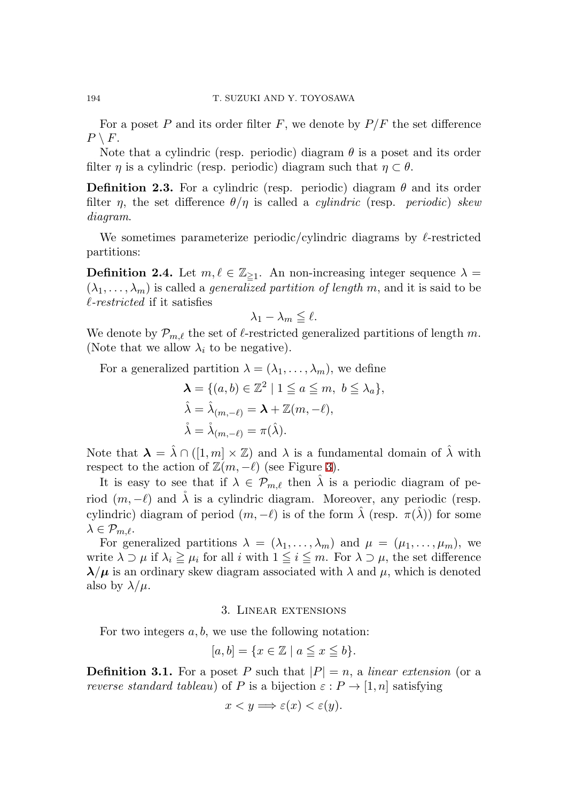For a poset  $P$  and its order filter  $F$ , we denote by  $P/F$  the set difference  $P \setminus F$ .

Note that a cylindric (resp. periodic) diagram  $\theta$  is a poset and its order filter *η* is a cylindric (resp. periodic) diagram such that  $\eta \subset \theta$ .

**Definition 2.3.** For a cylindric (resp. periodic) diagram  $\theta$  and its order filter *η*, the set difference  $\theta/\eta$  is called a *cylindric* (resp. *periodic*) *skew diagram*.

We sometimes parameterize periodic/cylindric diagrams by *ℓ*-restricted partitions:

**Definition 2.4.** Let  $m, \ell \in \mathbb{Z}_{\geq 1}$ . An non-increasing integer sequence  $\lambda =$  $(\lambda_1, \ldots, \lambda_m)$  is called a *generalized partition of length m*, and it is said to be *ℓ-restricted* if it satisfies

$$
\lambda_1 - \lambda_m \leq \ell.
$$

We denote by  $\mathcal{P}_{m,\ell}$  the set of  $\ell$ -restricted generalized partitions of length  $m$ . (Note that we allow  $\lambda_i$  to be negative).

For a generalized partition  $\lambda = (\lambda_1, \ldots, \lambda_m)$ , we define

$$
\begin{aligned} \n\boldsymbol{\lambda} &= \{ (a, b) \in \mathbb{Z}^2 \mid 1 \leq a \leq m, \ b \leq \lambda_a \}, \\ \n\hat{\lambda} &= \hat{\lambda}_{(m, -\ell)} = \boldsymbol{\lambda} + \mathbb{Z}(m, -\ell), \\ \n\hat{\lambda} &= \hat{\lambda}_{(m, -\ell)} = \pi(\hat{\lambda}). \n\end{aligned}
$$

Note that  $\lambda = \hat{\lambda} \cap ([1, m] \times \mathbb{Z})$  and  $\lambda$  is a fundamental domain of  $\hat{\lambda}$  with respect to the action of  $\mathbb{Z}(m, -\ell)$  (see Figure 3).

It is easy to see that if  $\lambda \in \mathcal{P}_{m,\ell}$  then  $\lambda$  is a periodic diagram of period  $(m, -\ell)$  and  $\tilde{\lambda}$  is a cylindric diagram. Moreover, any periodic (resp. cylindric) diagram of period  $(m, -\ell)$  is of the form  $\lambda$  (resp.  $\pi(\lambda)$ ) for some  $\lambda \in \mathcal{P}_{m,\ell}$ .

For generalized partitions  $\lambda = (\lambda_1, \ldots, \lambda_m)$  and  $\mu = (\mu_1, \ldots, \mu_m)$ , we write  $\lambda \supset \mu$  if  $\lambda_i \geq \mu_i$  for all *i* with  $1 \leq i \leq m$ . For  $\lambda \supset \mu$ , the set difference  $λ/μ$  is an ordinary skew diagram associated with  $λ$  and  $μ$ , which is denoted also by  $\lambda/\mu$ .

### 3. Linear extensions

For two integers *a, b*, we use the following notation:

$$
[a, b] = \{x \in \mathbb{Z} \mid a \leq x \leq b\}.
$$

**Definition 3.1.** For a poset *P* such that  $|P| = n$ , a *linear extension* (or a *reverse standard tableau*) of *P* is a bijection  $\varepsilon$  :  $P \rightarrow [1, n]$  satisfying

$$
x < y \Longrightarrow \varepsilon(x) < \varepsilon(y).
$$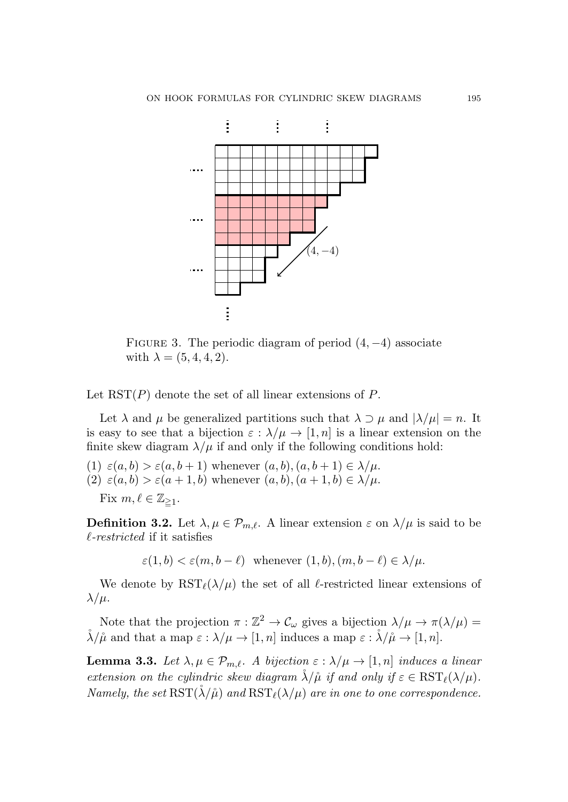

<span id="page-4-0"></span>Figure 3. The periodic diagram of period (4*, −*4) associate with  $\lambda = (5, 4, 4, 2)$ .

Let RST(*P*) denote the set of all linear extensions of *P*.

Let  $\lambda$  and  $\mu$  be generalized partitions such that  $\lambda \supset \mu$  and  $|\lambda/\mu| = n$ . It is easy to see that a bijection  $\varepsilon : \lambda/\mu \to [1, n]$  is a linear extension on the finite skew diagram  $\lambda/\mu$  if and only if the following conditions hold:

(1)  $\varepsilon(a, b) > \varepsilon(a, b+1)$  whenever  $(a, b), (a, b+1) \in \lambda/\mu$ .

(2)  $\varepsilon(a, b) > \varepsilon(a + 1, b)$  whenever  $(a, b), (a + 1, b) \in \lambda/\mu$ .

Fix  $m, \ell \in \mathbb{Z}_{\geq 1}$ .

**Definition 3.2.** Let  $\lambda, \mu \in \mathcal{P}_{m,\ell}$ . A linear extension  $\varepsilon$  on  $\lambda/\mu$  is said to be *ℓ-restricted* if it satisfies

 $\varepsilon(1, b) < \varepsilon(m, b - \ell)$  whenever  $(1, b), (m, b - \ell) \in \lambda/\mu$ .

We denote by  $\operatorname{RST}_\ell(\lambda/\mu)$  the set of all  $\ell$ -restricted linear extensions of *λ/µ*.

Note that the projection  $\pi : \mathbb{Z}^2 \to \mathcal{C}_\omega$  gives a bijection  $\lambda/\mu \to \pi(\lambda/\mu) =$  $\hat{\lambda}/\hat{\mu}$  and that a map  $\varepsilon : \lambda/\mu \to [1, n]$  induces a map  $\varepsilon : \hat{\lambda}/\hat{\mu} \to [1, n]$ .

<span id="page-4-1"></span>**Lemma 3.3.** *Let*  $\lambda, \mu \in \mathcal{P}_{m,\ell}$ *. A bijection*  $\varepsilon : \lambda/\mu \to [1,n]$  *induces a linear extension on the cylindric skew diagram*  $\lambda/\mu$  *if and only if*  $\varepsilon \in \text{RST}_{\ell}(\lambda/\mu)$ *. Namely, the set*  $\operatorname{RST}(\lambda/\mu)$  *and*  $\operatorname{RST}_\ell(\lambda/\mu)$  *are in one to one correspondence.*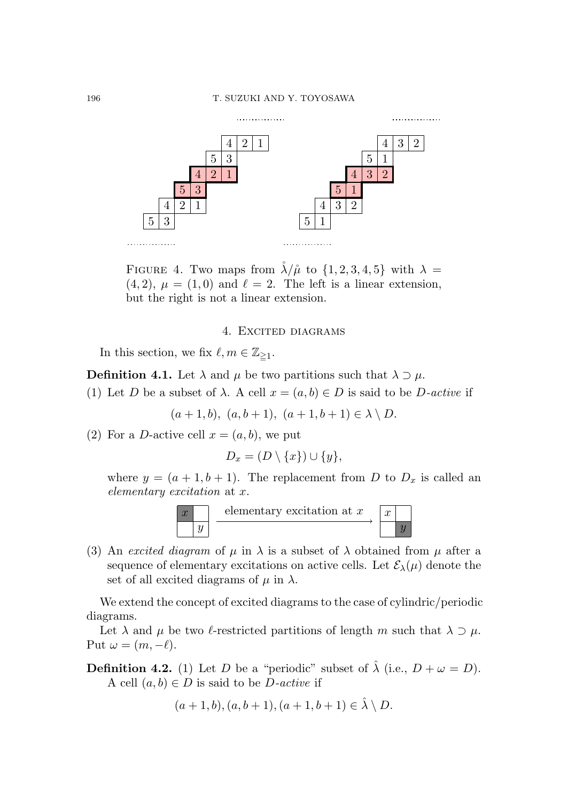

FIGURE 4. Two maps from  $\lambda/\mu$  to  $\{1, 2, 3, 4, 5\}$  with  $\lambda =$  $(4,2), \mu = (1,0)$  and  $\ell = 2$ . The left is a linear extension, but the right is not a linear extension.

## 4. EXCITED DIAGRAMS

In this section, we fix  $\ell, m \in \mathbb{Z}_{\geq 1}$ .

**Definition 4.1.** Let  $\lambda$  and  $\mu$  be two partitions such that  $\lambda \supset \mu$ .

(1) Let *D* be a subset of  $\lambda$ . A cell  $x = (a, b) \in D$  is said to be *D*-active if

 $(a+1, b), (a, b+1), (a+1, b+1) \in \lambda \setminus D.$ 

(2) For a *D*-active cell  $x = (a, b)$ , we put

$$
D_x = (D \setminus \{x\}) \cup \{y\},\
$$

where  $y = (a+1, b+1)$ . The replacement from *D* to  $D_x$  is called an *elementary excitation* at *x*.



(3) An *excited diagram* of  $\mu$  in  $\lambda$  is a subset of  $\lambda$  obtained from  $\mu$  after a sequence of elementary excitations on active cells. Let  $\mathcal{E}_{\lambda}(\mu)$  denote the set of all excited diagrams of  $\mu$  in  $\lambda$ .

We extend the concept of excited diagrams to the case of cylindric/periodic diagrams.

Let  $\lambda$  and  $\mu$  be two  $\ell$ -restricted partitions of length  $m$  such that  $\lambda \supset \mu$ . Put  $\omega = (m, -\ell)$ .

**Definition 4.2.** (1) Let *D* be a "periodic" subset of  $\hat{\lambda}$  (i.e.,  $D + \omega = D$ ). A cell (*a, b*) *∈ D* is said to be *D-active* if

$$
(a+1,b), (a,b+1), (a+1,b+1) \in \hat{\lambda} \setminus D.
$$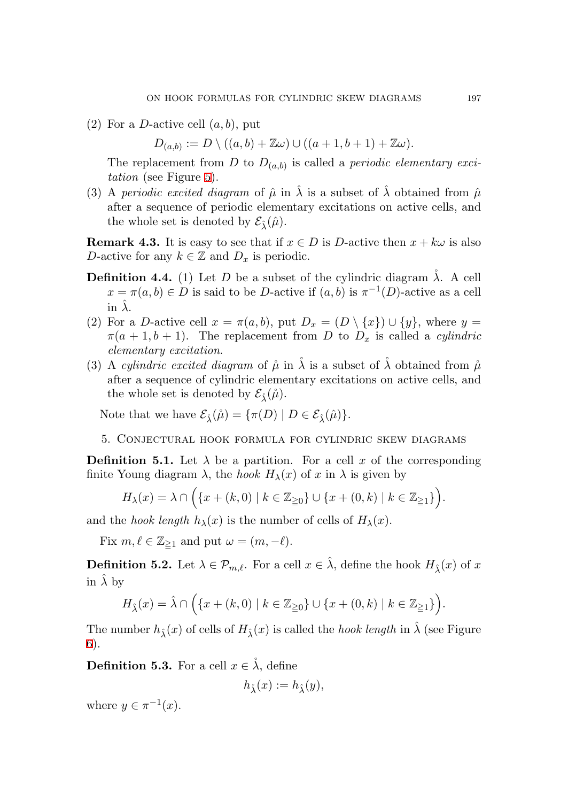(2) For a *D*-active cell (*a, b*), put

$$
D_{(a,b)} := D \setminus ((a,b) + \mathbb{Z}\omega) \cup ((a+1,b+1) + \mathbb{Z}\omega).
$$

The replacement from *D* to  $D_{(a,b)}$  is called a *periodic elementary excitation* (see Figure 5).

(3) A *periodic excited diagram* of  $\hat{\mu}$  in  $\hat{\lambda}$  is a subset of  $\hat{\lambda}$  obtained from  $\hat{\mu}$ after a sequence of periodic elementary excitations on active cells, and the whole set is denoted by  $\mathcal{E}_{\hat{\lambda}}(\hat{\mu})$ .

**Remark 4.3.** It is easy to see that if  $x \in D$  is *D*-active then  $x + k\omega$  is also *D*-active for any  $k \in \mathbb{Z}$  and  $D_x$  is periodic.

- **Definition 4.4.** (1) Let *D* be a subset of the cylindric diagram  $\lambda$ . A cell  $x = \pi(a, b) \in D$  is said to be *D*-active if  $(a, b)$  is  $\pi^{-1}(D)$ -active as a cell  $in \hat{\lambda}$ .
- (2) For a *D*-active cell  $x = \pi(a, b)$ , put  $D_x = (D \setminus \{x\}) \cup \{y\}$ , where  $y =$  $\pi(a+1,b+1)$ . The replacement from *D* to  $D_x$  is called a *cylindric elementary excitation*.
- (3) A *cylindric excited diagram* of  $\mu$  in  $\lambda$  is a subset of  $\lambda$  obtained from  $\mu$ after a sequence of cylindric elementary excitations on active cells, and the whole set is denoted by  $\mathcal{E}_{\lambda}(\mu)$ .

Note that we have  $\mathcal{E}_{\hat{\lambda}}(\hat{\mu}) = {\pi(D) | D \in \mathcal{E}_{\hat{\lambda}}(\hat{\mu})}.$ 

5. Conjectural hook formula for cylindric skew diagrams

**Definition 5.1.** Let  $\lambda$  be a partition. For a cell x of the corresponding finite Young diagram  $\lambda$ , the *hook*  $H_{\lambda}(x)$  of *x* in  $\lambda$  is given by

$$
H_{\lambda}(x) = \lambda \cap \Big(\{x + (k,0) \mid k \in \mathbb{Z}_{\geq 0}\} \cup \{x + (0,k) \mid k \in \mathbb{Z}_{\geq 1}\}\Big).
$$

and the *hook length*  $h_{\lambda}(x)$  is the number of cells of  $H_{\lambda}(x)$ .

Fix  $m, \ell \in \mathbb{Z}_{\geq 1}$  and put  $\omega = (m, -\ell)$ .

<span id="page-6-0"></span>**Definition 5.2.** Let  $\lambda \in \mathcal{P}_{m,\ell}$ . For a cell  $x \in \hat{\lambda}$ , define the hook  $H_{\hat{\lambda}}(x)$  of x [in](#page-8-1)  $\lambda$  by

$$
H_{\hat{\lambda}}(x) = \hat{\lambda} \cap \left( \{x + (k,0) \mid k \in \mathbb{Z}_{\geq 0} \} \cup \{x + (0,k) \mid k \in \mathbb{Z}_{\geq 1} \} \right).
$$

The number  $h_{\hat{\lambda}}(x)$  of cells of  $H_{\hat{\lambda}}(x)$  is called the *hook length* in  $\lambda$  (see Figure 6).

**Definition 5.3.** For a cell  $x \in \lambda$ , define

$$
h_{\mathring{\lambda}}(x) := h_{\hat{\lambda}}(y),
$$

where  $y \in \pi^{-1}(x)$ .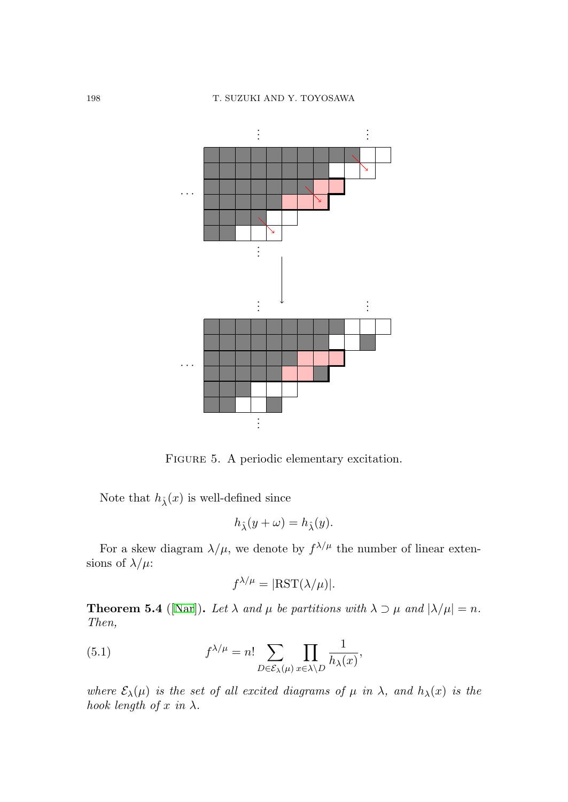

FIGURE 5. A periodic elementary excitation.

Note that  $h_{\lambda}(x)$  is well-defined since

$$
h_{\hat{\lambda}}(y+\omega) = h_{\hat{\lambda}}(y).
$$

For a skew diagram  $\lambda/\mu$ , we denote by  $f^{\lambda/\mu}$  the number of linear extensions of  $\lambda/\mu$ :

$$
f^{\lambda/\mu} = |\text{RST}(\lambda/\mu)|.
$$

**Theorem 5.4** ([Nar]). Let  $\lambda$  *and*  $\mu$  *be partitions with*  $\lambda \supset \mu$  *and*  $|\lambda/\mu| = n$ *. Then,*

(5.1) 
$$
f^{\lambda/\mu} = n! \sum_{D \in \mathcal{E}_{\lambda}(\mu)} \prod_{x \in \lambda \backslash D} \frac{1}{h_{\lambda}(x)},
$$

*where*  $\mathcal{E}_{\lambda}(\mu)$  *is the set of all excited diagrams of*  $\mu$  *in*  $\lambda$ *, and*  $h_{\lambda}(x)$  *is the hook length of*  $x$  *in*  $\lambda$ *.*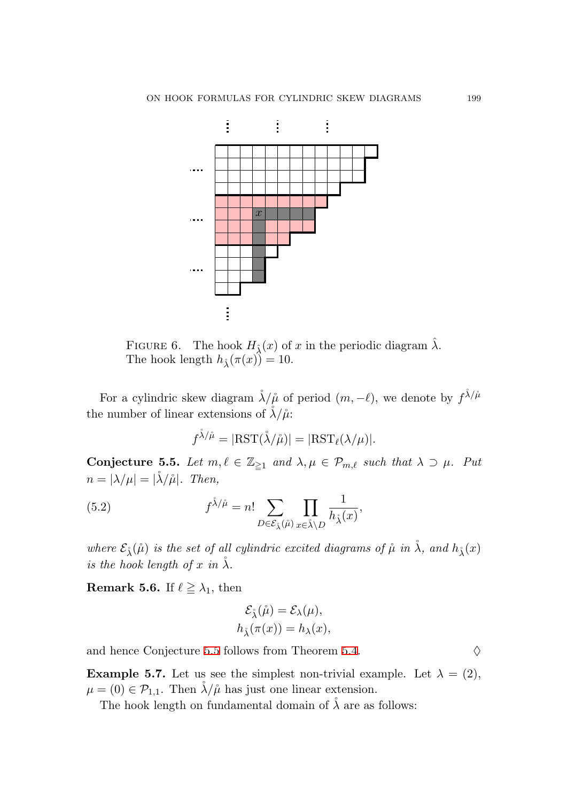

<span id="page-8-1"></span>FIGURE 6. The hook  $H_{\hat{\lambda}}(x)$  of *x* in the periodic diagram  $\hat{\lambda}$ . The hook length  $h_{\hat{\lambda}}(\pi(x)) = 10$ .

<span id="page-8-0"></span>For a cylindric skew diagram  $\hat{\lambda}/\hat{\mu}$  of period  $(m, -\ell)$ , we denote by  $f^{\hat{\lambda}/\hat{\mu}}$ the number of linear extensions of  $\lambda/\mu$ :

<span id="page-8-2"></span>
$$
f^{\hat{\lambda}/\hat{\mu}} = |\text{RST}(\hat{\lambda}/\hat{\mu})| = |\text{RST}_{\ell}(\lambda/\mu)|.
$$

**Conjecture 5.5.** *Let*  $m, \ell \in \mathbb{Z}_{\geq 1}$  *and*  $\lambda, \mu \in \mathcal{P}_{m, \ell}$  *such that*  $\lambda \supset \mu$ *. Put*  $n = |\lambda/\mu| = |\lambda/\mu|$ *. Then,* 

(5.2) 
$$
f^{\hat{\lambda}/\hat{\mu}} = n! \sum_{D \in \mathcal{E}_{\hat{\lambda}}(\hat{\mu})} \prod_{x \in \hat{\lambda} \backslash D} \frac{1}{h_{\hat{\lambda}}(x)},
$$

*where*  $\mathcal{E}_{\hat{\lambda}}(\hat{\mu})$  *is the set of all cylindric excited diagrams of*  $\hat{\mu}$  *in*  $\hat{\lambda}$ *, and*  $h_{\hat{\lambda}}(x)$ *is the hook length of*  $x$  *in*  $\lambda$ *.* 

**Remark 5.6.** If  $\ell \geq \lambda_1$ [, t](#page-8-0)hen

$$
\mathcal{E}_{\hat{\lambda}}(\hat{\mu}) = \mathcal{E}_{\lambda}(\mu),
$$
  

$$
h_{\hat{\lambda}}(\pi(x)) = h_{\lambda}(x),
$$

and hence Conjecture 5.5 follows from Theorem 5.4.  $\diamond$ 

**Example 5.7.** Let us see the simplest non-trivial example. Let  $\lambda = (2)$ ,  $\mu = (0) \in \mathcal{P}_{1,1}$ . Then  $\lambda/\mu$  has just one linear extension.

The hook length on fundamental domain of  $\lambda$  are as follows: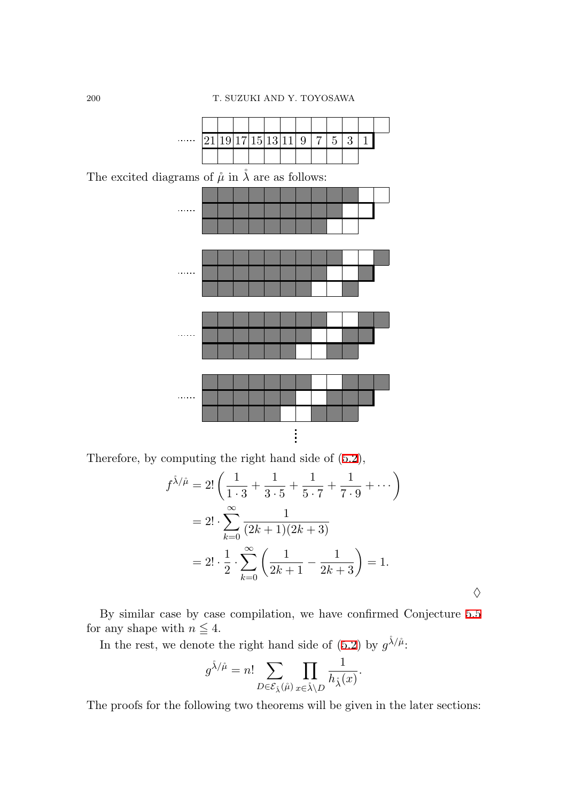|  |  | 10<br>ິ |  |  |  |  |
|--|--|---------|--|--|--|--|
|  |  |         |  |  |  |  |

The excited diagrams of  $\hat{\mu}$  in  $\hat{\lambda}$  are as follows:



Therefore, by computing the right hand side of (5.2),

$$
f^{\hat{\lambda}/\hat{\mu}} = 2! \left( \frac{1}{1 \cdot 3} + \frac{1}{3 \cdot 5} + \frac{1}{5 \cdot 7} + \frac{1}{7 \cdot 9} + \cdots \right)
$$
  
= 
$$
2! \cdot \sum_{k=0}^{\infty} \frac{1}{(2k+1)(2k+3)}
$$
  
= 
$$
2! \cdot \frac{1}{2} \cdot \sum_{k=0}^{\infty} \left( \frac{1}{2k+1} - \frac{1}{2k+3} \right) = 1.
$$

♢

By similar case by case compilation, we have confirmed Conjecture 5.5 for any shape with  $n\leqq 4.$ 

In the rest, we denote the right hand side of (5.2) by  $g^{\lambda/\mu}$ :

$$
g^{\mathring{\lambda}/\mathring{\mu}}=n!\sum_{D\in\mathcal{E}_{\mathring{\lambda}}(\mathring{\mu})}\prod_{x\in\mathring{\lambda}\backslash D}\frac{1}{h_{\mathring{\lambda}}(x)}.
$$

The proofs for the following two theorems will be given in the later sections: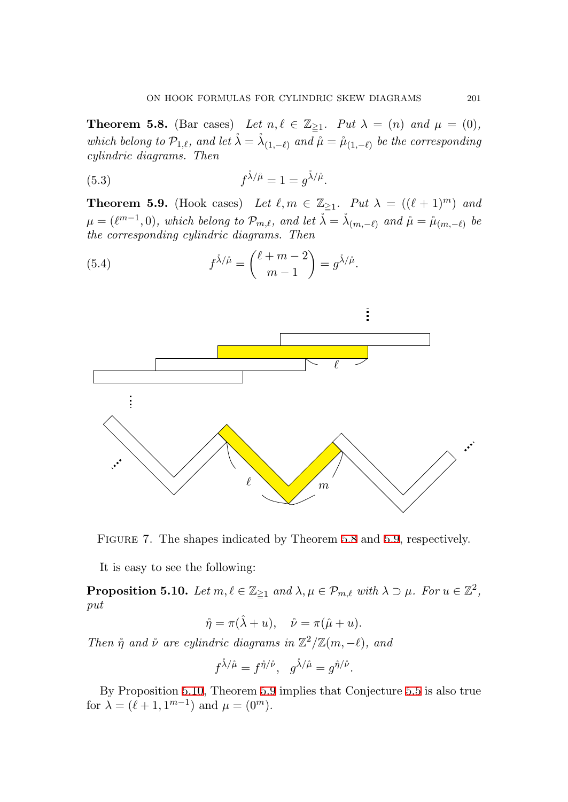<span id="page-10-1"></span><span id="page-10-0"></span>**Theorem 5.8.** (Bar cases) Let  $n, \ell \in \mathbb{Z}_{\geq 1}$ . Put  $\lambda = (n)$  and  $\mu = (0)$ *, which belong to*  $\mathcal{P}_{1,\ell}$ *, and let*  $\check{\lambda} = \check{\lambda}_{(1,-\ell)}$  *and*  $\mathring{\mu} = \mathring{\mu}_{(1,-\ell)}$  *be the corresponding cylindric diagrams. Then*

(5.3) 
$$
f^{\hat{\lambda}/\hat{\mu}} = 1 = g^{\hat{\lambda}/\hat{\mu}}.
$$

**Theorem 5.9.** (Hook cases) Let  $\ell, m \in \mathbb{Z}_{\geq 1}$ . Put  $\lambda = ((\ell + 1)^m)$  and  $\mu = (\ell^{m-1}, 0)$ , which belong to  $\mathcal{P}_{m,\ell}$ , and let  $\overset{\circ}{\lambda} = \overset{\circ}{\lambda}_{(m,-\ell)}$  and  $\overset{\circ}{\mu} = \overset{\circ}{\mu}_{(m,-\ell)}$  be *the corresponding cylindric diagrams. Then*

(5.4) 
$$
f^{\hat{\lambda}/\hat{\mu}} = {\ell+m-2 \choose m-1} = g^{\hat{\lambda}/\hat{\mu}}.
$$



FIGURE 7. The shapes indicated by Theorem 5.8 and 5.9, respectively.

It is easy to see the following:

**Proposition 5.10.** *Let*  $m, \ell \in \mathbb{Z}_{\geq 1}$  and  $\lambda, \mu \in \mathcal{P}_{m,\ell}$  with  $\lambda \supset \mu$ *. For*  $u \in \mathbb{Z}^2$ , *put*

$$
\mathring{\eta} = \pi(\hat{\lambda} + u), \quad \mathring{\nu} = \pi(\hat{\mu} + u).
$$

*Then*  $\eta$  *and*  $\dot{\nu}$  *are cylindric diagrams in*  $\mathbb{Z}^2/\mathbb{Z}(m, -\ell)$ *, and* 

$$
f^{\mathring{\lambda}/\mathring{\mu}} = f^{\mathring{\eta}/\mathring{\nu}}, \quad g^{\mathring{\lambda}/\mathring{\mu}} = g^{\mathring{\eta}/\mathring{\nu}}.
$$

By Proposition 5.10, Theorem 5.9 implies that Conjecture 5.5 is also true for  $\lambda = (\ell + 1, 1^{m-1})$  and  $\mu = (0^m)$ .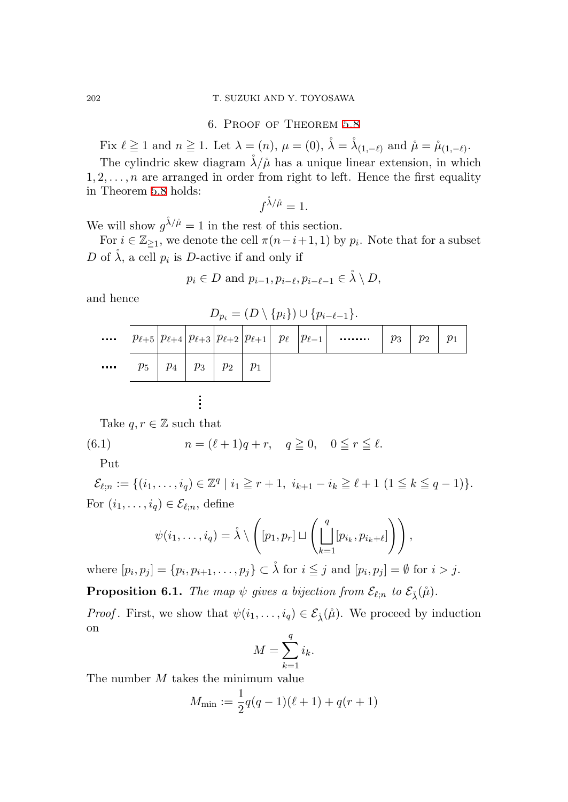# 6. Proof of Theorem 5.8

Fix  $\ell \geq 1$  and  $n \geq 1$ . Let  $\lambda = (n)$ ,  $\mu = (0)$ ,  $\mathring{\lambda} = \mathring{\lambda}_{(1,-\ell)}$  and  $\mathring{\mu} = \mathring{\mu}_{(1,-\ell)}$ .

The cylindric skew diagram  $\lambda/\mu$  has a unique linear extension, in which  $1, 2, \ldots, n$  are arranged in order from right to left. Hence the first equality in Theorem 5.8 holds:

$$
f^{\mathring{\lambda}/\mathring{\mu}}=1.
$$

We will show  $g^{\lambda/\mu} = 1$  in the rest of this section.

For  $i \in \mathbb{Z}_{\geq 1}$ , we denote the cell  $\pi(n-i+1,1)$  by  $p_i$ . Note that for a subset *D* of  $\lambda$ , a cell  $p_i$  is *D*-active if and only if

$$
p_i \in D
$$
 and  $p_{i-1}, p_{i-\ell}, p_{i-\ell-1} \in \mathring{\lambda} \setminus D$ ,

and hence

$$
D_{p_i} = (D \setminus \{p_i\}) \cup \{p_{i-\ell-1}\}.
$$
\n
$$
p_{\ell+5} p_{\ell+4} p_{\ell+3} p_{\ell+2} p_{\ell+1} p_{\ell+1} p_{\ell} p_{\ell-1} \dots p_{3} p_{2} p_{1}
$$
\n
$$
p_5 p_4 p_3 p_2 p_1
$$
\n
$$
\vdots
$$

Take  $q, r \in \mathbb{Z}$  such that

(6.1) 
$$
n = (\ell + 1)q + r, \quad q \ge 0, \quad 0 \le r \le \ell.
$$

Put

 $\mathcal{E}_{\ell,n} := \{ (i_1, \ldots, i_q) \in \mathbb{Z}^q \mid i_1 \geq r+1, i_{k+1} - i_k \geq \ell+1 \ (1 \leq k \leq q-1) \}.$ For  $(i_1, \ldots, i_q) \in \mathcal{E}_{\ell;n}$ , define

$$
\psi(i_1,\ldots,i_q)=\mathring{\lambda}\setminus\left([p_1,p_r]\sqcup\left(\bigsqcup_{k=1}^q[p_{i_k},p_{i_k+\ell}]\right)\right),
$$

where  $[p_i, p_j] = \{p_i, p_{i+1}, \ldots, p_j\} \subset \mathring{\lambda}$  for  $i \leq j$  and  $[p_i, p_j] = \emptyset$  for  $i > j$ .

**Proposition 6.1.** *The map*  $\psi$  *gives a bijection from*  $\mathcal{E}_{\ell,n}$  *to*  $\mathcal{E}_{\hat{\lambda}}(\hat{\mu})$ *.* 

*Proof.* First, we show that  $\psi(i_1, \ldots, i_q) \in \mathcal{E}_{\hat{\lambda}}(\hat{\mu})$ . We proceed by induction on *q*

$$
M = \sum_{k=1}^{q} i_k.
$$

The number *M* takes the minimum value

$$
M_{\min} := \frac{1}{2}q(q-1)(\ell+1) + q(r+1)
$$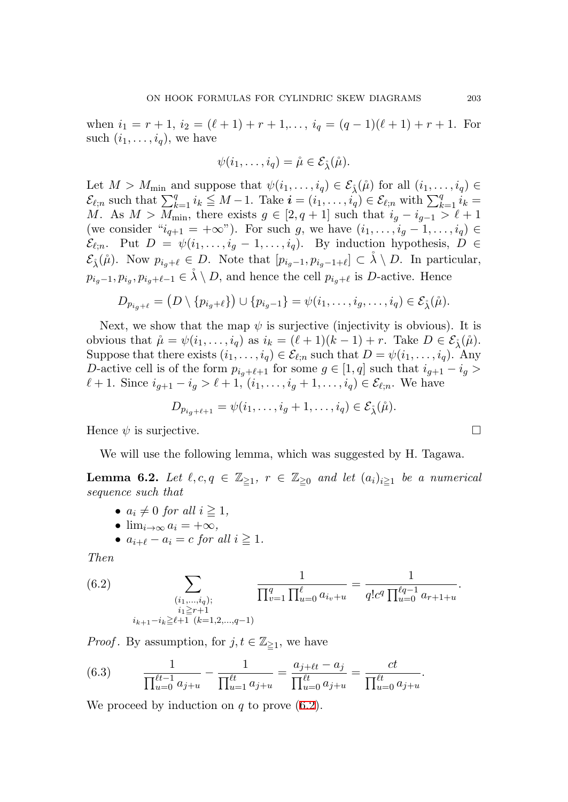when  $i_1 = r + 1$ ,  $i_2 = (\ell + 1) + r + 1, \ldots$ ,  $i_q = (q - 1)(\ell + 1) + r + 1$ . For such  $(i_1, \ldots, i_q)$ , we have

$$
\psi(i_1,\ldots,i_q)=\mathring{\mu}\in\mathcal{E}_{\mathring{\lambda}}(\mathring{\mu}).
$$

Let  $M > M_{\text{min}}$  and suppose that  $\psi(i_1, \ldots, i_q) \in \mathcal{E}_{\hat{\lambda}}(\hat{\mu})$  for all  $(i_1, \ldots, i_q) \in$  $\mathcal{E}_{\ell,n}$  such that  $\sum_{k=1}^{q} i_k \leq M-1$ . Take  $i = (i_1, \ldots, i_q) \in \mathcal{E}_{\ell,n}$  with  $\sum_{k=1}^{q} i_k =$ *M*. As  $M > M_{\text{min}}$ , there exists  $g \in [2, q+1]$  such that  $i_q - i_{q-1} > l + 1$ (we consider " $i_{q+1} = +\infty$ "). For such *g*, we have  $(i_1, \ldots, i_g - 1, \ldots, i_q) \in$  $\mathcal{E}_{\ell;n}$ . Put  $D = \psi(i_1,\ldots,i_g-1,\ldots,i_q)$ . By induction hypothesis,  $D \in$  $\mathcal{E}_{\hat{\lambda}}(\hat{\mu})$ . Now  $p_{i_g+\ell} \in D$ . Note that  $[p_{i_g-1}, p_{i_g-1+\ell}] \subset \hat{\lambda} \setminus D$ . In particular,  $p_{i_g-1}, p_{i_g}, p_{i_g+\ell-1} \in \overset{\circ}{\lambda} \setminus D$ , and hence the cell  $p_{i_g+\ell}$  is *D*-active. Hence

$$
D_{p_{i_g+\ell}} = (D \setminus \{p_{i_g+\ell}\}) \cup \{p_{i_g-1}\} = \psi(i_1,\ldots,i_g,\ldots,i_q) \in \mathcal{E}_{\lambda}(\hat{\mu}).
$$

Next, we show that the map  $\psi$  is surjective (injectivity is obvious). It is obvious that  $\mathring{\mu} = \psi(i_1, \ldots, i_q)$  as  $i_k = (\ell + 1)(k - 1) + r$ . Take  $D \in \mathcal{E}_{\mathring{\lambda}}(\mathring{\mu})$ . Suppose that there exists  $(i_1, \ldots, i_q) \in \mathcal{E}_{\ell;n}$  such that  $D = \psi(i_1, \ldots, i_q)$ . Any *D*-active cell is of the form  $p_{i_q+\ell+1}$  for some  $g \in [1,q]$  such that  $i_{g+1} - i_g >$  $\ell + 1$ . Since  $i_{g+1} - i_g > \ell + 1$ ,  $(i_1, \ldots, i_g + 1, \ldots, i_q) \in \mathcal{E}_{\ell,n}$ . We have

$$
D_{p_{i_g+\ell+1}}=\psi(i_1,\ldots,i_g+1,\ldots,i_q)\in \mathcal{E}_{\hat{\lambda}}(\hat{\mu}).
$$

<span id="page-12-1"></span>Hence  $\psi$  is surjective.  $\Box$ 

We will use the following lemma, which was suggested by H. Tagawa.

**Lemma 6.2.** Let  $\ell, c, q \in \mathbb{Z}_{\geq 1}$ ,  $r \in \mathbb{Z}_{\geq 0}$  and let  $(a_i)_{i \geq 1}$  be a numerical *sequence such that*

- <span id="page-12-0"></span>•  $a_i \neq 0$  *for all*  $i \geq 1$ *,*
- $\lim_{i\to\infty} a_i = +\infty$ ,
- $a_{i+\ell} a_i = c$  *for all*  $i \geq 1$ *.*

*Then*

(6.2) 
$$
\sum_{\substack{(i_1,\ldots,i_q);\\i_1\ge r+1\\i_{k+1}-i_k\ge \ell+1 \ (k=1,2,\ldots,q-1)}}\frac{1}{\prod_{v=1}^q\prod_{u=0}^\ell a_{i_v+u}}=\frac{1}{q!c^q\prod_{u=0}^{\ell q-1}a_{r+1+u}}.
$$

*Proof.* By assumption, for  $j, t \in \mathbb{Z}_{\geq 1}$ , w[e ha](#page-12-0)ve

(6.3) 
$$
\frac{1}{\prod_{u=0}^{\ell t-1} a_{j+u}} - \frac{1}{\prod_{u=1}^{\ell t} a_{j+u}} = \frac{a_{j+\ell t} - a_j}{\prod_{u=0}^{\ell t} a_{j+u}} = \frac{ct}{\prod_{u=0}^{\ell t} a_{j+u}}.
$$

We proceed by induction on *q* to prove (6.2).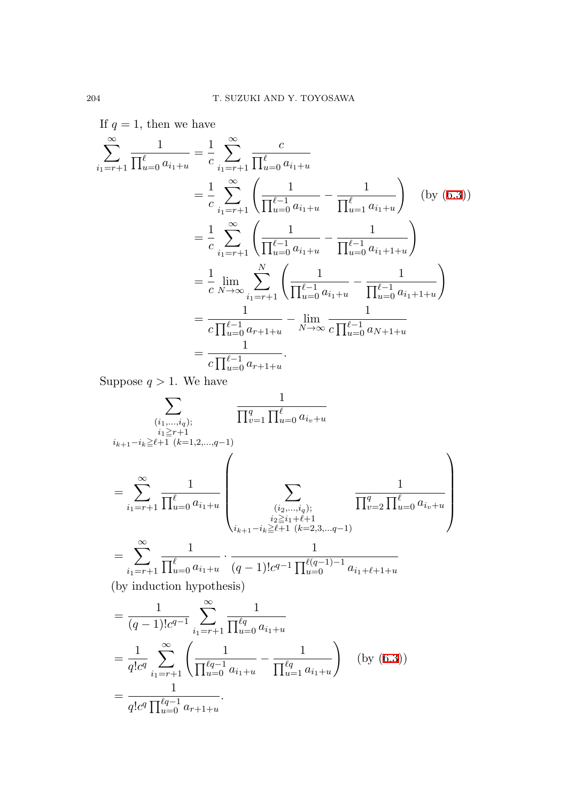If  $q = 1$ , then we have

$$
\sum_{i_1=r+1}^{\infty} \frac{1}{\prod_{u=0}^{\ell} a_{i_1+u}} = \frac{1}{c} \sum_{i_1=r+1}^{\infty} \frac{c}{\prod_{u=0}^{\ell} a_{i_1+u}}
$$
\n
$$
= \frac{1}{c} \sum_{i_1=r+1}^{\infty} \left( \frac{1}{\prod_{u=0}^{\ell-1} a_{i_1+u}} - \frac{1}{\prod_{u=1}^{\ell} a_{i_1+u}} \right) \quad \text{(by (6.3))}
$$
\n
$$
= \frac{1}{c} \sum_{i_1=r+1}^{\infty} \left( \frac{1}{\prod_{u=0}^{\ell-1} a_{i_1+u}} - \frac{1}{\prod_{u=0}^{\ell-1} a_{i_1+1+u}} \right)
$$
\n
$$
= \frac{1}{c} \lim_{N \to \infty} \sum_{i_1=r+1}^N \left( \frac{1}{\prod_{u=0}^{\ell-1} a_{i_1+u}} - \frac{1}{\prod_{u=0}^{\ell-1} a_{i_1+1+u}} \right)
$$
\n
$$
= \frac{1}{c \prod_{u=0}^{\ell-1} a_{r+1+u}} - \lim_{N \to \infty} \frac{1}{c \prod_{u=0}^{\ell-1} a_{N+1+u}}
$$
\n
$$
= \frac{1}{c \prod_{u=0}^{\ell-1} a_{r+1+u}}.
$$

Suppose  $q > 1$ . We have

$$
\sum_{\substack{(i_1,\ldots,i_q);\\i_k+1-i_k\geq \ell+1}}\frac{1}{\prod_{v=1}^q\prod_{u=0}^\ell a_{i_v+u}}
$$
\n
$$
= \sum_{i_1=r+1}^{\infty}\frac{1}{\prod_{u=0}^\ell a_{i_1+u}}\left(\sum_{\substack{(i_2,\ldots,i_q);\\i_2\geq i_1+\ell+1\\i_k+1-i_k\geq \ell+1}}\frac{1}{\prod_{v=2}^q\prod_{u=0}^\ell a_{i_v+u}}\right)
$$
\n
$$
= \sum_{i_1=r+1}^{\infty}\frac{1}{\prod_{u=0}^\ell a_{i_1+u}}\cdot\frac{1}{(q-1)!c^{q-1}\prod_{u=0}^{\ell(q-1)-1}a_{i_1+\ell+1+u}}
$$

(by induction hypothesis)

$$
= \frac{1}{(q-1)!c^{q-1}} \sum_{i_1=r+1}^{\infty} \frac{1}{\prod_{u=0}^{\ell q} a_{i_1+u}}
$$
  
= 
$$
\frac{1}{q!c^q} \sum_{i_1=r+1}^{\infty} \left( \frac{1}{\prod_{u=0}^{\ell q-1} a_{i_1+u}} - \frac{1}{\prod_{u=1}^{\ell q} a_{i_1+u}} \right)
$$
 (by (6.3))  
= 
$$
\frac{1}{q!c^q \prod_{u=0}^{\ell q-1} a_{r+1+u}}.
$$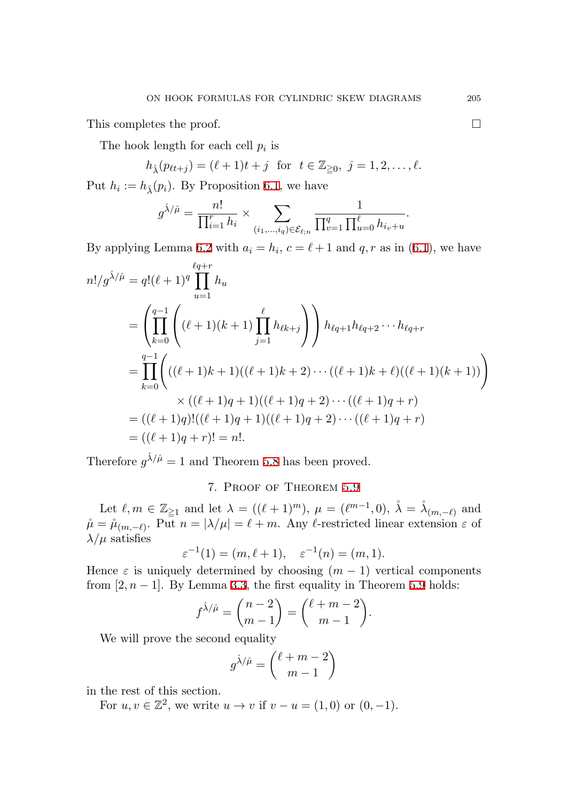This completes the proof.  $\Box$ 

The hook length for each cell *p<sup>i</sup>* is

$$
h_{\lambda}(p_{\ell t+j}) = (\ell+1)t + j
$$
 for  $t \in \mathbb{Z}_{\geq 0}$ ,  $j = 1, 2, ..., \ell$ .

Put  $h_i := h_{\lambda}(p_i)$ . By [Pro](#page-12-1)position 6.1, we have

$$
g^{\hat{\lambda}/\hat{\mu}} = \frac{n!}{\prod_{i=1}^{r} h_i} \times \sum_{(i_1, \dots, i_q) \in \mathcal{E}_{\ell;n}} \frac{1}{\prod_{v=1}^{q} \prod_{u=0}^{\ell} h_{i_v+u}}.
$$

By applying Lemma 6.2 with  $a_i = h_i$ ,  $c = \ell + 1$  and  $q, r$  as in (6.1), we have

$$
n!/g^{\lambda/\hat{\mu}} = q!(\ell+1)^q \prod_{u=1}^{\ell q+r} h_u
$$
  
= 
$$
\left( \prod_{k=0}^{q-1} \left( (\ell+1)(k+1) \prod_{j=1}^{\ell} h_{\ell k+j} \right) \right) h_{\ell q+1} h_{\ell q+2} \cdots h_{\ell q+r}
$$
  
= 
$$
\prod_{k=0}^{q-1} \left( ((\ell+1)k+1)((\ell+1)k+2) \cdots ((\ell+1)k+\ell)((\ell+1)(k+1)) \right)
$$
  

$$
\times ((\ell+1)q+1)((\ell+1)q+2) \cdots ((\ell+1)q+r)
$$
  
= 
$$
((\ell+1)q)!((\ell+1)q+1)((\ell+1)q+2) \cdots ((\ell+1)q+r)
$$
  
= 
$$
((\ell+1)q+r)! = n!.
$$

Therefore  $g^{\lambda/\mu} = 1$  and Theorem 5.8 has been proved.

# 7. Proof of Theorem 5.9

Let  $\ell, m \in \mathbb{Z}_{\geq 1}$  and let  $\lambda = ((\ell + 1)^m)$  $\lambda = ((\ell + 1)^m)$  $\lambda = ((\ell + 1)^m)$ ,  $\mu = (\ell^{m-1}, 0)$ ,  $\mathring{\lambda} = \mathring{\lambda}_{(m, -\ell)}$  and  $\mu = \mu_{(m,-\ell)}$ . Put  $n = |\lambda/\mu| = \ell + m$ . Any  $\ell$ -restricted linear extension  $\varepsilon$  of  $λ/μ$  satisfies

$$
\varepsilon^{-1}(1) = (m, \ell + 1), \quad \varepsilon^{-1}(n) = (m, 1).
$$

Hence  $\varepsilon$  is uniquely determined by choosing  $(m-1)$  vertical components from  $[2, n-1]$ . By Lemma 3.3, the first equality in Theorem 5.9 holds:

$$
f^{\hat{\lambda}/\hat{\mu}} = \binom{n-2}{m-1} = \binom{\ell+m-2}{m-1}.
$$

We will prove the second equality

$$
g^{\mathring{\lambda}/\mathring{\mu}} = \binom{\ell+m-2}{m-1}
$$

in the rest of this section.

For  $u, v \in \mathbb{Z}^2$ , we write  $u \to v$  if  $v - u = (1, 0)$  or  $(0, -1)$ .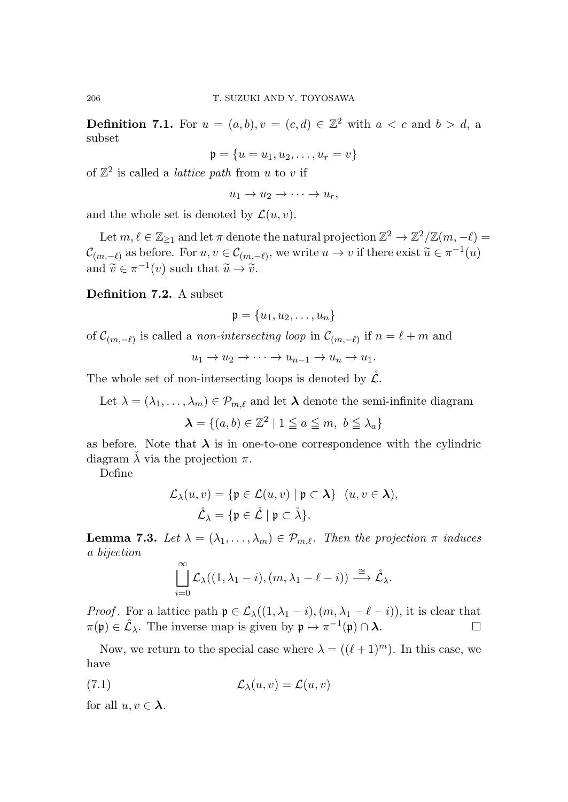**Definition 7.1.** For  $u = (a, b), v = (c, d) \in \mathbb{Z}^2$  with  $a < c$  and  $b > d$ , a subset

$$
\mathfrak{p}=\{u=u_1,u_2,\ldots,u_r=v\}
$$

of  $\mathbb{Z}^2$  is called a *lattice path* from *u* to *v* if

$$
u_1 \to u_2 \to \cdots \to u_r,
$$

and the whole set is denoted by  $\mathcal{L}(u, v)$ .

Let  $m, \ell \in \mathbb{Z}_{\geq 1}$  and let  $\pi$  denote the natural projection  $\mathbb{Z}^2 \to \mathbb{Z}^2/\mathbb{Z}(m, -\ell) =$  $\mathcal{C}_{(m,-\ell)}$  as before. For  $u, v \in \mathcal{C}_{(m,-\ell)}$ , we write  $u \to v$  if there exist  $\widetilde{u} \in \pi^{-1}(u)$ and  $\widetilde{v} \in \pi^{-1}(v)$  such that  $\widetilde{u} \to \widetilde{v}$ .

**Definition 7.2.** A subset

$$
\mathfrak{p}=\{u_1,u_2,\ldots,u_n\}
$$

of  $\mathcal{C}_{(m,-\ell)}$  is called a *non-intersecting loop* in  $\mathcal{C}_{(m,-\ell)}$  if  $n = \ell + m$  and

$$
u_1 \to u_2 \to \cdots \to u_{n-1} \to u_n \to u_1.
$$

The whole set of non-intersecting loops is denoted by  $\mathring{\mathcal{L}}$ .

Let  $\lambda = (\lambda_1, \ldots, \lambda_m) \in \mathcal{P}_{m,\ell}$  and let  $\lambda$  denote the semi-infinite diagram

$$
\lambda = \{(a, b) \in \mathbb{Z}^2 \mid 1 \leq a \leq m, \ b \leq \lambda_a\}
$$

as before. Note that  $\lambda$  is in one-to-one correspondence with the cylindric diagram  $\lambda$  via the projection  $\pi$ .

Define

$$
\mathcal{L}_{\lambda}(u, v) = \{ \mathfrak{p} \in \mathcal{L}(u, v) \mid \mathfrak{p} \subset \mathbf{\lambda} \} \quad (u, v \in \mathbf{\lambda}),
$$

$$
\mathring{\mathcal{L}}_{\lambda} = \{ \mathfrak{p} \in \mathring{\mathcal{L}} \mid \mathfrak{p} \subset \mathring{\lambda} \}.
$$

<span id="page-15-1"></span>**Lemma 7.3.** *Let*  $\lambda = (\lambda_1, \ldots, \lambda_m) \in \mathcal{P}_{m,\ell}$ *. Then the projection*  $\pi$  *induces a bijection*

<span id="page-15-0"></span>
$$
\bigsqcup_{i=0}^{\infty} \mathcal{L}_{\lambda}((1, \lambda_1 - i), (m, \lambda_1 - \ell - i)) \stackrel{\cong}{\longrightarrow} \mathring{\mathcal{L}}_{\lambda}.
$$

*Proof.* For a lattice path  $\mathfrak{p} \in \mathcal{L}_{\lambda}((1, \lambda_1 - i), (m, \lambda_1 - \ell - i))$ , it is clear that  $\pi(\mathfrak{p}) \in \mathring{\mathcal{L}}_{\lambda}$ . The inverse map is given by  $\mathfrak{p} \mapsto \pi^{-1}(\mathfrak{p}) \cap \lambda$ . □

Now, we return to the special case where  $\lambda = ((\ell+1)^m)$ . In this case, we have

(7.1) 
$$
\mathcal{L}_{\lambda}(u,v) = \mathcal{L}(u,v)
$$

for all  $u, v \in \lambda$ .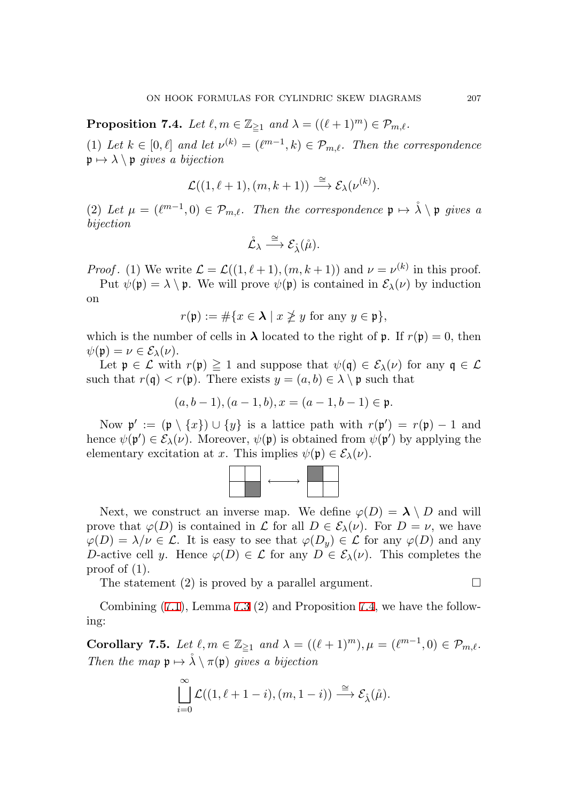<span id="page-16-0"></span>**Proposition 7.4.** *Let*  $\ell, m \in \mathbb{Z}_{\geq 1}$  *and*  $\lambda = ((\ell + 1)^m) \in \mathcal{P}_{m,\ell}$ *.* 

(1) Let  $k \in [0, \ell]$  and let  $\nu^{(k)} = (\ell^{m-1}, k) \in \mathcal{P}_{m,\ell}$ . Then the correspondence  $\mathfrak{p} \mapsto \lambda \setminus \mathfrak{p}$  *gives a bijection* 

$$
\mathcal{L}((1,\ell+1),(m,k+1)) \stackrel{\cong}{\longrightarrow} \mathcal{E}_{\lambda}(\nu^{(k)}).
$$

(2) Let  $\mu = (\ell^{m-1}, 0) \in \mathcal{P}_{m,\ell}$ . Then the correspondence  $\mathfrak{p} \mapsto \mathring{\lambda} \setminus \mathfrak{p}$  gives a *bijection*

$$
\mathring{\mathcal L}_\lambda \stackrel{\cong}{\longrightarrow} \mathcal E_{\mathring\lambda}(\mathring\mu).
$$

*Proof.* (1) We write  $\mathcal{L} = \mathcal{L}((1, \ell + 1), (m, k + 1))$  and  $\nu = \nu^{(k)}$  in this proof.

Put  $\psi(\mathfrak{p}) = \lambda \setminus \mathfrak{p}$ . We will prove  $\psi(\mathfrak{p})$  is contained in  $\mathcal{E}_{\lambda}(\nu)$  by induction on

$$
r(\mathfrak{p}) := \#\{x \in \mathfrak{X} \mid x \ngeq y \text{ for any } y \in \mathfrak{p}\},\
$$

which is the number of cells in  $\lambda$  located to the right of  $\mathfrak{p}$ . If  $r(\mathfrak{p}) = 0$ , then  $\psi(\mathfrak{p}) = \nu \in \mathcal{E}_{\lambda}(\nu).$ 

Let  $\mathfrak{p} \in \mathcal{L}$  with  $r(\mathfrak{p}) \geq 1$  and suppose that  $\psi(\mathfrak{q}) \in \mathcal{E}_{\lambda}(\nu)$  for any  $\mathfrak{q} \in \mathcal{L}$ such that  $r(\mathfrak{q}) < r(\mathfrak{p})$ . There exists  $y = (a, b) \in \lambda \setminus \mathfrak{p}$  such that

$$
(a, b-1), (a-1, b), x = (a-1, b-1) \in \mathfrak{p}.
$$

Now  $\mathfrak{p}' := (\mathfrak{p} \setminus \{x\}) \cup \{y\}$  is a lattice path with  $r(\mathfrak{p}') = r(\mathfrak{p}) - 1$  and hence  $\psi(\mathfrak{p}') \in \mathcal{E}_{\lambda}(\nu)$ . Moreover,  $\psi(\mathfrak{p})$  is obtained from  $\psi(\mathfrak{p}')$  by applying the elementary excitation at *x*. This implies  $\psi(\mathfrak{p}) \in \mathcal{E}_{\lambda}(\nu)$ .



Next, we construct an inverse map. We define  $\varphi(D) = \lambda \setminus D$  and will prove that  $\varphi(D)$  is contained in *L* for all  $D \in \mathcal{E}_{\lambda}(\nu)$ . For  $D = \nu$ , we have  $\varphi(D) = \lambda/\nu \in \mathcal{L}$ . It is eas[y to](#page-15-1) see that  $\varphi(D_y) \in \mathcal{L}$  [for](#page-16-0) any  $\varphi(D)$  and any *D*-active cell *y*. Hence  $\varphi(D) \in \mathcal{L}$  for any  $D \in \mathcal{E}_{\lambda}(\nu)$ . This completes the proof of  $(1)$ .

<span id="page-16-1"></span>The statement (2) is proved by a parallel argument.  $\Box$ 

Combining (7.1), Lemma 7.3 (2) and Proposition 7.4, we have the following:

**Corollary 7.5.** *Let*  $\ell, m \in \mathbb{Z}_{\geq 1}$  *and*  $\lambda = ((\ell + 1)^m), \mu = (\ell^{m-1}, 0) \in \mathcal{P}_{m,\ell}$ *. Then the map*  $\mathfrak{p} \mapsto \lambda \setminus \pi(\mathfrak{p})$  *gives a bijection* 

$$
\bigcup_{i=0}^{\infty} \mathcal{L}((1,\ell+1-i),(m,1-i)) \stackrel{\cong}{\longrightarrow} \mathcal{E}_{\hat{\lambda}}(\hat{\mu}).
$$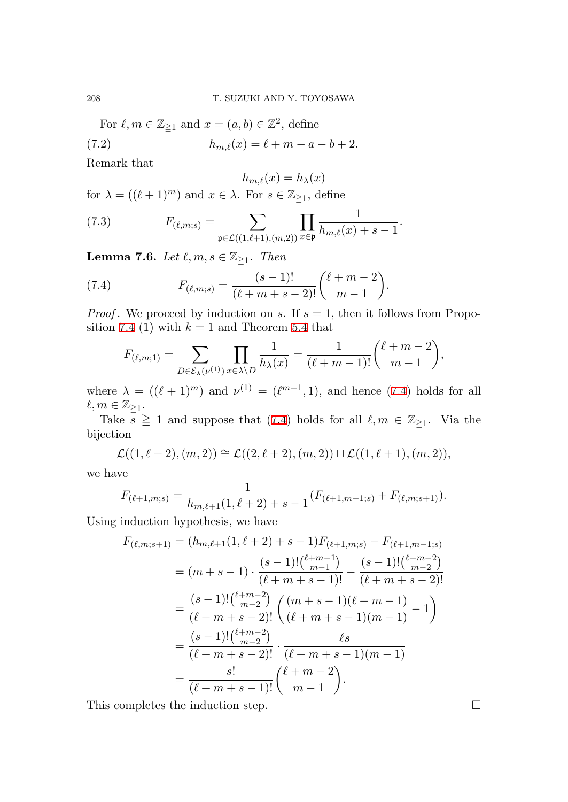For  $\ell, m \in \mathbb{Z}_{\geq 1}$  and  $x = (a, b) \in \mathbb{Z}^2$ , define (7.2)  $h_{m,\ell}(x) = \ell + m - a - b + 2.$ 

Remark that

<span id="page-17-0"></span>
$$
h_{m,\ell}(x) = h_{\lambda}(x)
$$

for  $\lambda = ((\ell + 1)^m)$  and  $x \in \lambda$ . For  $s \in \mathbb{Z}_{\geq 1}$ , define

(7.3) 
$$
F_{(\ell,m;s)} = \sum_{\mathfrak{p} \in \mathcal{L}((1,\ell+1),(m,2))} \prod_{x \in \mathfrak{p}} \frac{1}{h_{m,\ell}(x) + s - 1}.
$$

**Lem[ma](#page-16-0) 7.6.** *Let*  $\ell, m, s \in \mathbb{Z}_{\geq 1}$ *. Then* 

(7.4) 
$$
F_{(\ell,m;s)} = \frac{(s-1)!}{(\ell+m+s-2)!} {\ell+m-2 \choose m-1}.
$$

*Proof.* We proceed by induction on *s*. If  $s = 1$ , then it fol[low](#page-17-0)s from Proposition 7.4 (1) with  $k = 1$  and Theorem 5.4 that

$$
F_{(\ell,m;1)} = \sum_{D \in \mathcal{E}_{\lambda}(\nu^{(1)})} \prod_{x \in \lambda \setminus D} \frac{1}{h_{\lambda}(x)} = \frac{1}{(\ell+m-1)!} {\ell+m-2 \choose m-1},
$$

where  $\lambda = ((\ell+1)^m)$  and  $\nu^{(1)} = (\ell^{m-1}, 1)$ , and hence (7.4) holds for all  $\ell,m\in\mathbb{Z}_{\geq 1}.$ 

Take  $s \geq 1$  and suppose that (7.4) holds for all  $\ell, m \in \mathbb{Z}_{\geq 1}$ . Via the bijection

$$
\mathcal{L}((1,\ell+2),(m,2)) \cong \mathcal{L}((2,\ell+2),(m,2)) \sqcup \mathcal{L}((1,\ell+1),(m,2)),
$$

we have

$$
F_{(\ell+1,m;s)} = \frac{1}{h_{m,\ell+1}(1,\ell+2)+s-1}(F_{(\ell+1,m-1;s)}+F_{(\ell,m;s+1)}).
$$

Using induction hypothesis, we have

$$
F_{(\ell,m;s+1)} = (h_{m,\ell+1}(1,\ell+2) + s - 1)F_{(\ell+1,m;s)} - F_{(\ell+1,m-1;s)}
$$
  
=  $(m+s-1) \cdot \frac{(s-1)! \binom{\ell+m-1}{m-1}}{(\ell+m+s-1)!} - \frac{(s-1)! \binom{\ell+m-2}{m-2}}{(\ell+m+s-2)!}$   
=  $\frac{(s-1)! \binom{\ell+m-2}{m-2}}{(\ell+m+s-2)!} \left( \frac{(m+s-1)(\ell+m-1)}{(\ell+m+s-1)(m-1)} - 1 \right)$   
=  $\frac{(s-1)! \binom{\ell+m-2}{m-2}}{(\ell+m+s-2)!} \cdot \frac{\ell s}{(\ell+m+s-1)(m-1)}$   
=  $\frac{s!}{(\ell+m+s-1)!} \binom{\ell+m-2}{m-1}.$ 

This completes the induction step.  $\Box$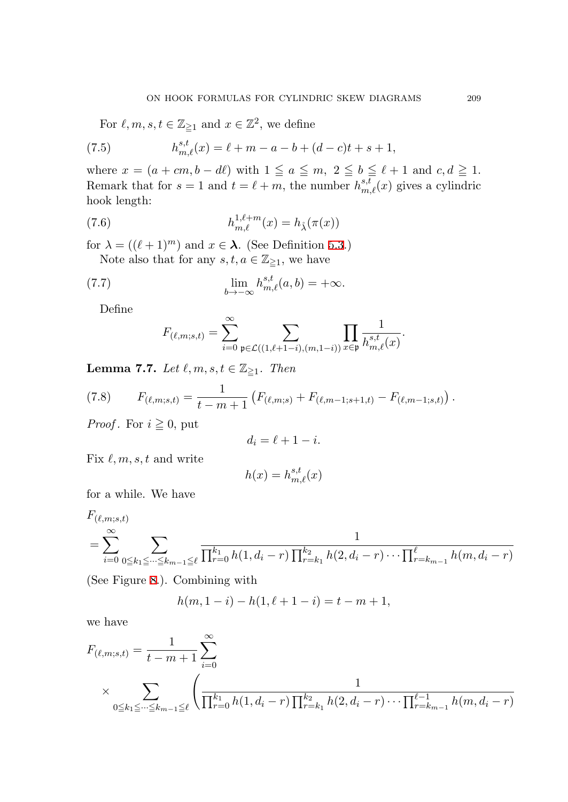For  $\ell, m, s, t \in \mathbb{Z}_{\geq 1}$  and  $x \in \mathbb{Z}^2$ , we define

(7.5) 
$$
h_{m,\ell}^{s,t}(x) = \ell + m - a - b + (d - c)t + s + 1,
$$

where  $x = (a + cm, b - d\ell)$  with  $1 \leq a \leq m$ ,  $2 \leq b \leq \ell + 1$  $2 \leq b \leq \ell + 1$  and  $c, d \geq 1$ . Remark that for  $s = 1$  and  $t = \ell + m$ , the number  $h_{m,\ell}^{s,t}(x)$  gives a cylindric hook length:

(7.6) 
$$
h_{m,\ell}^{1,\ell+m}(x) = h_{\hat{\lambda}}(\pi(x))
$$

for  $\lambda = ((\ell + 1)^m)$  and  $x \in \lambda$ . (See Definition 5.3.)

Note also that for any  $s, t, a \in \mathbb{Z}_{\geq 1}$ , we have

<span id="page-18-0"></span>(7.7) 
$$
\lim_{b \to -\infty} h_{m,\ell}^{s,t}(a,b) = +\infty.
$$

Define

$$
F_{(\ell,m;s,t)} = \sum_{i=0}^{\infty} \sum_{\mathfrak{p} \in \mathcal{L}((1,\ell+1-i),(m,1-i))} \prod_{x \in \mathfrak{p}} \frac{1}{h_{m,\ell}^{s,t}(x)}.
$$

**Lemma 7.7.** *Let*  $\ell, m, s, t \in \mathbb{Z}_{\geq 1}$ *. Then* 

(7.8) 
$$
F_{(\ell,m;s,t)} = \frac{1}{t-m+1} \left( F_{(\ell,m;s)} + F_{(\ell,m-1;s+1,t)} - F_{(\ell,m-1;s,t)} \right).
$$

*Proof.* For  $i \geq 0$ , put

$$
d_i = \ell + 1 - i.
$$

Fix  $\ell, m, s, t$  and write

$$
h(x) = h_{m,\ell}^{s,t}(x)
$$

for a while. We have

$$
F_{(\ell,m;s,t)}
$$
  
=  $\sum_{i=0}^{\infty} \sum_{0 \le k_1 \le \dots \le k_{m-1} \le \ell} \frac{1}{\prod_{r=0}^{k_1} h(1, d_i - r) \prod_{r=k_1}^{k_2} h(2, d_i - r) \dots \prod_{r=k_{m-1}}^{\ell} h(m, d_i - r)}$ 

(See Figure 8.). Combining with

$$
h(m, 1 - i) - h(1, \ell + 1 - i) = t - m + 1,
$$

we have

$$
F_{(\ell,m;s,t)} = \frac{1}{t-m+1} \sum_{i=0}^{\infty}
$$
  
 
$$
\times \sum_{0 \le k_1 \le \dots \le k_{m-1} \le \ell} \left( \frac{1}{\prod_{r=0}^{k_1} h(1, d_i - r) \prod_{r=k_1}^{k_2} h(2, d_i - r) \dots \prod_{r=k_{m-1}}^{\ell-1} h(m, d_i - r)} \right)
$$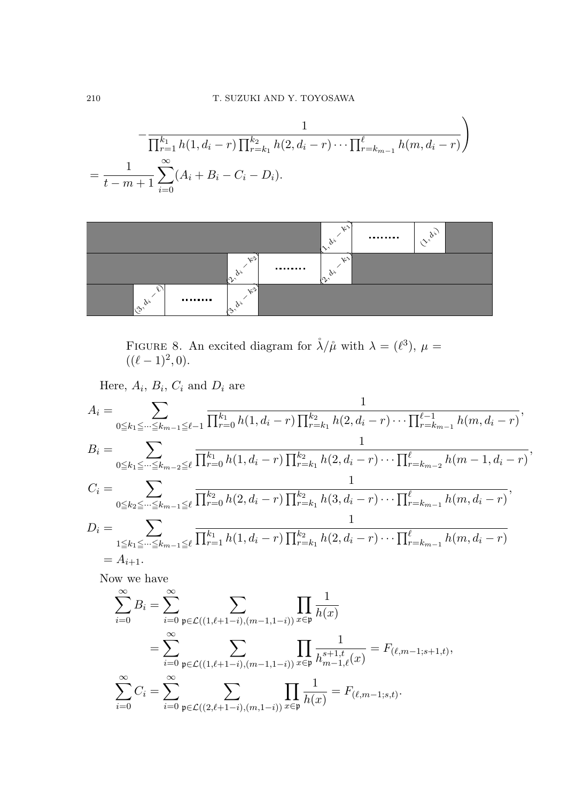$$
-\frac{1}{\prod_{r=1}^{k_1} h(1, d_i - r) \prod_{r=k_1}^{k_2} h(2, d_i - r) \cdots \prod_{r=k_{m-1}}^{\ell} h(m, d_i - r)}\right)
$$
  
= 
$$
\frac{1}{t - m + 1} \sum_{i=0}^{\infty} (A_i + B_i - C_i - D_i).
$$



FIGURE 8. An excited diagram for  $\lambda/\mu$  with  $\lambda = (\ell^3)$ ,  $\mu =$  $((\ell-1)^2, 0).$ 

Here,  $A_i$ ,  $B_i$ ,  $C_i$  and  $D_i$  are

$$
A_{i} = \sum_{0 \leq k_{1} \leq \dots \leq k_{m-1} \leq \ell-1} \frac{1}{\prod_{r=0}^{k_{1}} h(1, d_{i} - r) \prod_{r=k_{1}}^{k_{2}} h(2, d_{i} - r) \cdots \prod_{r=k_{m-1}}^{\ell-1} h(m, d_{i} - r)},
$$
  
\n
$$
B_{i} = \sum_{0 \leq k_{1} \leq \dots \leq k_{m-2} \leq \ell} \frac{1}{\prod_{r=0}^{k_{1}} h(1, d_{i} - r) \prod_{r=k_{1}}^{k_{2}} h(2, d_{i} - r) \cdots \prod_{r=k_{m-2}}^{\ell} h(m-1, d_{i} - r)},
$$
  
\n
$$
C_{i} = \sum_{0 \leq k_{2} \leq \dots \leq k_{m-1} \leq \ell} \frac{1}{\prod_{r=0}^{k_{2}} h(2, d_{i} - r) \prod_{r=k_{1}}^{k_{2}} h(3, d_{i} - r) \cdots \prod_{r=k_{m-1}}^{\ell} h(m, d_{i} - r)},
$$
  
\n
$$
D_{i} = \sum_{1 \leq k_{1} \leq \dots \leq k_{m-1} \leq \ell} \frac{1}{\prod_{r=1}^{k_{1}} h(1, d_{i} - r) \prod_{r=k_{1}}^{k_{2}} h(2, d_{i} - r) \cdots \prod_{r=k_{m-1}}^{\ell} h(m, d_{i} - r)}
$$
  
\n
$$
= A_{i+1}.
$$

Now we have

$$
\sum_{i=0}^{\infty} B_i = \sum_{i=0}^{\infty} \sum_{\mathfrak{p} \in \mathcal{L}((1,\ell+1-i),(m-1,1-i))} \prod_{x \in \mathfrak{p}} \frac{1}{h(x)}
$$
  
= 
$$
\sum_{i=0}^{\infty} \sum_{\mathfrak{p} \in \mathcal{L}((1,\ell+1-i),(m-1,1-i))} \prod_{x \in \mathfrak{p}} \frac{1}{h_{m-1,\ell}^{s+1,t}(x)} = F_{(\ell,m-1;s+1,t)},
$$
  

$$
\sum_{i=0}^{\infty} C_i = \sum_{i=0}^{\infty} \sum_{\mathfrak{p} \in \mathcal{L}((2,\ell+1-i),(m,1-i))} \prod_{x \in \mathfrak{p}} \frac{1}{h(x)} = F_{(\ell,m-1;s,t)}.
$$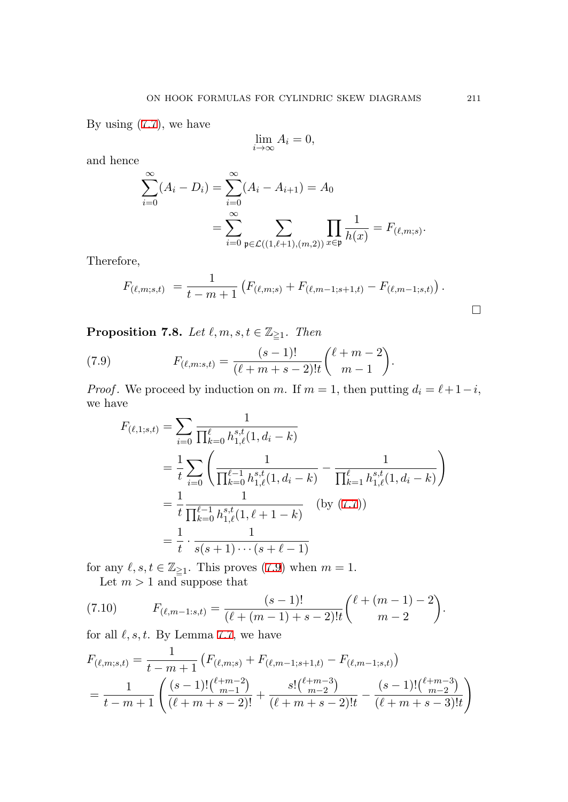By using (7.7), we have

$$
\lim_{i \to \infty} A_i = 0,
$$

and hence

$$
\sum_{i=0}^{\infty} (A_i - D_i) = \sum_{i=0}^{\infty} (A_i - A_{i+1}) = A_0
$$
  
= 
$$
\sum_{i=0}^{\infty} \sum_{\mathfrak{p} \in \mathcal{L}((1,\ell+1),(m,2))} \prod_{x \in \mathfrak{p}} \frac{1}{h(x)} = F_{(\ell,m;s)}.
$$

<span id="page-20-0"></span>Therefore,

$$
F_{(\ell,m;s,t)} = \frac{1}{t-m+1} \left( F_{(\ell,m;s)} + F_{(\ell,m-1;s+1,t)} - F_{(\ell,m-1;s,t)} \right).
$$

**Proposition 7.8.** *Let*  $\ell, m, s, t \in \mathbb{Z}_{\geq 1}$ *. Then* 

(7.9) 
$$
F_{(\ell,m:s,t)} = \frac{(s-1)!}{(\ell+m+s-2)!t} {\ell+m-2 \choose m-1}.
$$

*Proof.* We proceed by induction on *m*. If  $m = 1$ , then putting  $d_i = \ell + 1 - i$ , we have

$$
F_{(\ell,1;s,t)} = \sum_{i=0}^{\infty} \frac{1}{\prod_{k=0}^{\ell} h_{1,\ell}^{s,t}(1, d_i - k)}
$$
  
=  $\frac{1}{t} \sum_{i=0}^{\infty} \left( \frac{1}{\prod_{k=0}^{\ell-1} h_{1,\ell}^{s,t}(1, d_i - k)} - \frac{1}{\prod_{k=1}^{\ell} h_{1,\ell}^{s,t}(1, d_i - k)} \right)$   
=  $\frac{1}{t} \frac{1}{\prod_{k=0}^{\ell-1} h_{1,\ell}^{s,t}(1, \ell + 1 - k)}$  (by (7.7))  
=  $\frac{1}{t} \cdot \frac{1}{s(s+1) \cdots (s+\ell-1)}$ 

for any  $\ell, s, t \in \mathbb{Z}_{\geq 1}$ . Thi[s pr](#page-18-0)oves (7.9) when  $m = 1$ . Let  $m > 1$  and suppose that

(7.10) 
$$
F_{(\ell,m-1:s,t)} = \frac{(s-1)!}{(\ell+(m-1)+s-2)!t} {\ell+(m-1)-2 \choose m-2}.
$$

for all  $\ell, s, t$ . By Lemma 7.7, we have

$$
F_{(\ell,m;s,t)} = \frac{1}{t-m+1} \left( F_{(\ell,m;s)} + F_{(\ell,m-1;s+1,t)} - F_{(\ell,m-1;s,t)} \right)
$$
  
= 
$$
\frac{1}{t-m+1} \left( \frac{(s-1)! \binom{\ell+m-2}{m-1}}{(\ell+m+s-2)!} + \frac{s! \binom{\ell+m-3}{m-2}}{(\ell+m+s-2)!} - \frac{(s-1)! \binom{\ell+m-3}{m-2}}{(\ell+m+s-3)!} \right)
$$

□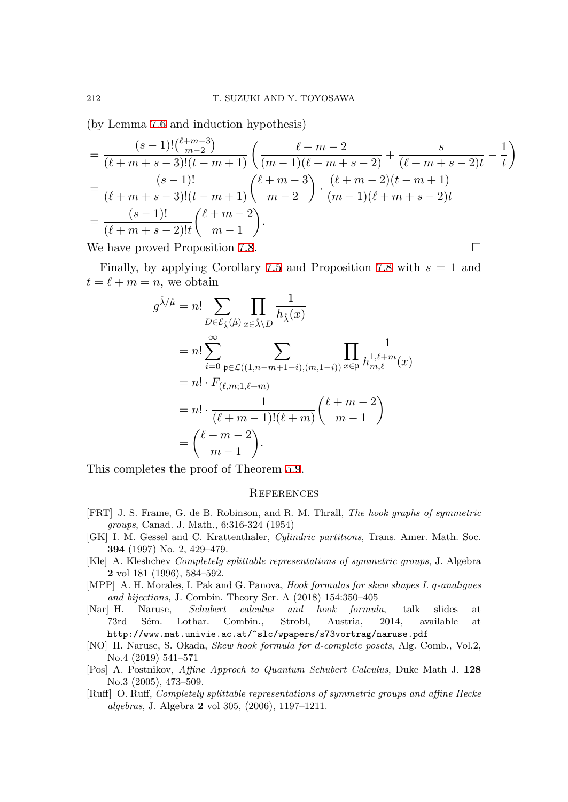(by Lemma 7.6 and induction hypothesis)

$$
= \frac{(s-1)!\binom{\ell+m-3}{m-2}}{(\ell+m+s-3)!(t-m+1)} \left(\frac{\ell+m-2}{(m-1)(\ell+m+s-2)} + \frac{s}{(\ell+m+s-2)t} - \frac{1}{t}\right)
$$
  
= 
$$
\frac{(s-1)!}{(\ell+m+s-3)!(t-m+1)} \binom{\ell+m-3}{m-2} \cdot \frac{(\ell+m-2)(t-m+1)}{(m-1)(\ell+m+s-2)t}
$$
  
= 
$$
\frac{(s-1)!}{(\ell+m+s-2)!t} \binom{\ell+m-2}{m-1}.
$$

We have proved Proposition 7.8. □

Finally, by applying Corollary 7.5 and Proposition 7.8 with *s* = 1 and  $t = \ell + m = n$ , we obtain

$$
g^{\hat{\lambda}/\hat{\mu}} = n! \sum_{D \in \mathcal{E}_{\hat{\lambda}}(\hat{\mu})} \prod_{x \in \hat{\lambda} \setminus D} \frac{1}{h_{\hat{\lambda}}(x)}
$$
  
=  $n! \sum_{i=0}^{\infty} \sum_{\mathfrak{p} \in \mathcal{L}((1, n-m+1-i), (m, 1-i))} \prod_{x \in \mathfrak{p}} \frac{1}{h_{m,\ell}^{1,\ell+m}(x)}$   
=  $n! \cdot F_{(\ell,m;1,\ell+m)}$   
=  $n! \cdot \frac{1}{(\ell+m-1)!(\ell+m)} {\ell+m-2 \choose m-1}$   
=  ${\ell+m-2 \choose m-1}.$ 

<span id="page-21-3"></span><span id="page-21-0"></span>This completes the proof of Theorem 5.9.

#### **REFERENCES**

- [FRT] J. S. Frame, G. de B. Robinson, and R. M. Thrall, *The hook graphs of symmetric groups*, Canad. J. Math., 6:316-324 (1954)
- <span id="page-21-1"></span>[GK] I. M. Gessel and C. Krattenthaler, *Cylindric partitions*, Trans. Amer. Math. Soc. **394** (1997) No. 2, 429–479.
- <span id="page-21-2"></span>[Kle] A. Kleshchev *Completely splittable representations of symmetric groups*, J. Algebra **2** vol 181 (1996), 584–592.
- [MPP] A. H. Morales, I. Pak and G. Panova, *Hook formulas for skew shapes I. q-analigues and bijections*, J. Combin. Theory Ser. A (2018) 154:350–405
- <span id="page-21-4"></span>[Nar] H. Naruse, *Schubert calculus and hook formula*, talk slides at 73rd Sém. Lothar. Combin., Strobl, Austria, 2014, available at http://www.mat.univie.ac.at/~slc/wpapers/s73vortrag/naruse.pdf
- [NO] H. Naruse, S. Okada, *Skew hook formula for d-complete posets*, Alg. Comb., Vol.2, No.4 (2019) 541–571
- [Pos] A. Postnikov, *Affine Approch to Quantum Schubert Calculus*, Duke Math J. **128** No.3 (2005), 473–509.
- [Ruff] O. Ruff, *Completely splittable representations of symmetric groups and affine Hecke algebras*, J. Algebra **2** vol 305, (2006), 1197–1211.